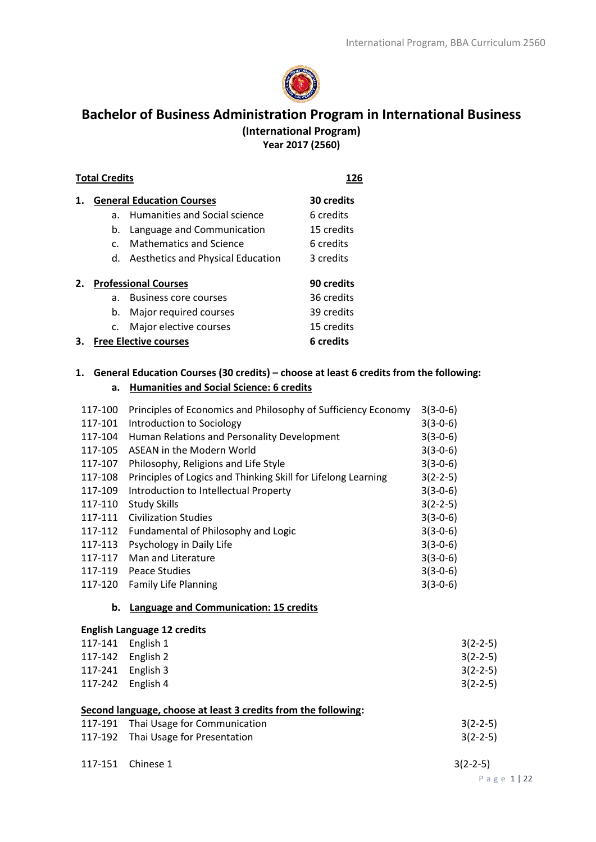

# **Bachelor of Business Administration Program in International Business (International Program) Year 2017 (2560)**

#### **Total Credits 126**

| 1. |              | <b>General Education Courses</b>         | 30 credits |
|----|--------------|------------------------------------------|------------|
|    | a.           | Humanities and Social science            | 6 credits  |
|    | b.           | Language and Communication               | 15 credits |
|    | $\mathsf{C}$ | Mathematics and Science                  | 6 credits  |
|    | d.           | <b>Aesthetics and Physical Education</b> | 3 credits  |
|    |              |                                          |            |
| 2. |              | <b>Professional Courses</b>              | 90 credits |
|    | a.           | <b>Business core courses</b>             | 36 credits |
|    | b.           | Major required courses                   | 39 credits |
|    | C.           | Major elective courses                   | 15 credits |
|    |              | <b>Free Elective courses</b>             | 6 credits  |

# **1. General Education Courses (30 credits) – choose at least 6 credits from the following: a. Humanities and Social Science: 6 credits**

| 117-100 | Principles of Economics and Philosophy of Sufficiency Economy  | $3(3-0-6)$ |
|---------|----------------------------------------------------------------|------------|
| 117-101 | Introduction to Sociology                                      | $3(3-0-6)$ |
| 117-104 | Human Relations and Personality Development                    | $3(3-0-6)$ |
| 117-105 | ASEAN in the Modern World                                      | $3(3-0-6)$ |
| 117-107 | Philosophy, Religions and Life Style                           | $3(3-0-6)$ |
| 117-108 | Principles of Logics and Thinking Skill for Lifelong Learning  | $3(2-2-5)$ |
| 117-109 | Introduction to Intellectual Property                          | $3(3-0-6)$ |
| 117-110 | <b>Study Skills</b>                                            | $3(2-2-5)$ |
| 117-111 | <b>Civilization Studies</b>                                    | $3(3-0-6)$ |
| 117-112 | Fundamental of Philosophy and Logic                            | $3(3-0-6)$ |
| 117-113 | Psychology in Daily Life                                       | $3(3-0-6)$ |
| 117-117 | Man and Literature                                             | $3(3-0-6)$ |
| 117-119 | Peace Studies                                                  | $3(3-0-6)$ |
| 117-120 | <b>Family Life Planning</b>                                    | $3(3-0-6)$ |
|         |                                                                |            |
| b.      | Language and Communication: 15 credits                         |            |
|         | <b>English Language 12 credits</b>                             |            |
|         | 117-141 English 1                                              | $3(2-2-5)$ |
|         | 117-142 English 2                                              | $3(2-2-5)$ |
| 117-241 | English 3                                                      | $3(2-2-5)$ |
| 117-242 | English 4                                                      | $3(2-2-5)$ |
|         | Second language, choose at least 3 credits from the following: |            |
| 117-191 | Thai Usage for Communication                                   | $3(2-2-5)$ |
| 117-192 | Thai Usage for Presentation                                    | $3(2-2-5)$ |
| 117-151 | Chinese 1                                                      | $3(2-2-5)$ |

P a g e 1 | 22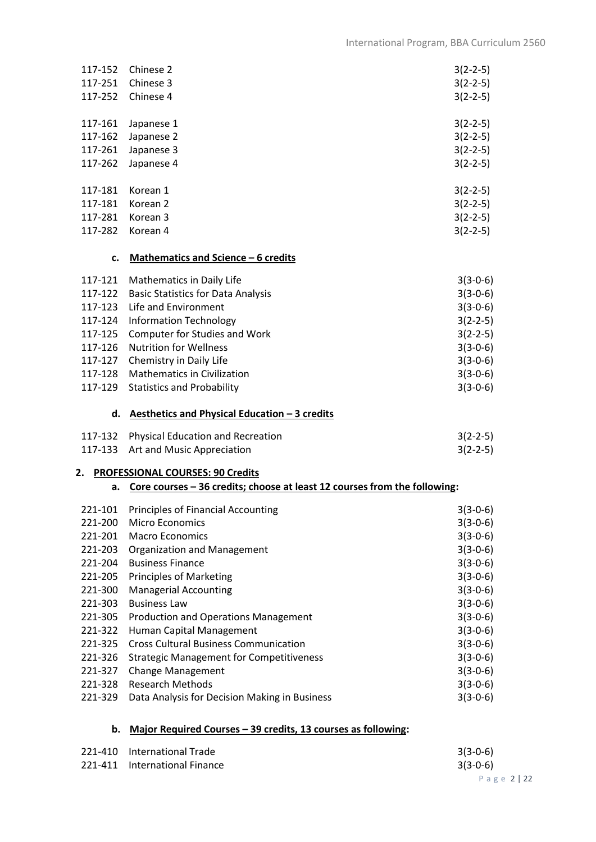| 117-152            | Chinese 2                                                                       | $3(2-2-5)$               |
|--------------------|---------------------------------------------------------------------------------|--------------------------|
| 117-251            | Chinese 3                                                                       | $3(2-2-5)$               |
| 117-252            | Chinese 4                                                                       | $3(2-2-5)$               |
| 117-161            | Japanese 1                                                                      | $3(2-2-5)$               |
| 117-162            | Japanese 2                                                                      | $3(2-2-5)$               |
| 117-261            | Japanese 3                                                                      | $3(2-2-5)$               |
| 117-262            | Japanese 4                                                                      | $3(2-2-5)$               |
| 117-181            | Korean 1                                                                        | $3(2-2-5)$               |
| 117-181            | Korean <sub>2</sub>                                                             | $3(2-2-5)$               |
| 117-281            | Korean <sub>3</sub>                                                             | $3(2-2-5)$               |
| 117-282            | Korean 4                                                                        | $3(2-2-5)$               |
|                    | Mathematics and Science - 6 credits<br>c.                                       |                          |
| 117-121            | Mathematics in Daily Life                                                       | $3(3-0-6)$               |
| 117-122            | <b>Basic Statistics for Data Analysis</b>                                       | $3(3-0-6)$               |
| 117-123            | Life and Environment                                                            | $3(3-0-6)$               |
| 117-124            | <b>Information Technology</b>                                                   | $3(2-2-5)$               |
| 117-125            | <b>Computer for Studies and Work</b>                                            | $3(2-2-5)$               |
| 117-126            | <b>Nutrition for Wellness</b>                                                   | $3(3-0-6)$               |
| 117-127<br>117-128 | Chemistry in Daily Life<br><b>Mathematics in Civilization</b>                   | $3(3-0-6)$               |
| 117-129            | <b>Statistics and Probability</b>                                               | $3(3-0-6)$<br>$3(3-0-6)$ |
|                    |                                                                                 |                          |
|                    | d. Aesthetics and Physical Education $-3$ credits                               |                          |
|                    | 117-132 Physical Education and Recreation                                       | $3(2-2-5)$               |
| 117-133            | Art and Music Appreciation                                                      | $3(2-2-5)$               |
|                    | 2. PROFESSIONAL COURSES: 90 Credits                                             |                          |
|                    | Core courses - 36 credits; choose at least 12 courses from the following:<br>а. |                          |
| 221-101            | <b>Principles of Financial Accounting</b>                                       | $3(3-0-6)$               |
| 221-200            | Micro Economics                                                                 | $3(3-0-6)$               |
| 221-201            | <b>Macro Economics</b>                                                          | $3(3-0-6)$               |
| 221-203            | <b>Organization and Management</b>                                              | $3(3-0-6)$               |
| 221-204            | <b>Business Finance</b>                                                         | $3(3-0-6)$               |
| 221-205            | <b>Principles of Marketing</b>                                                  | $3(3-0-6)$               |
| 221-300            | <b>Managerial Accounting</b><br><b>Business Law</b>                             | $3(3-0-6)$               |
| 221-303            |                                                                                 | $3(3-0-6)$               |
| 221-305            | Production and Operations Management<br>Human Capital Management                | $3(3-0-6)$               |
| 221-322<br>221-325 | <b>Cross Cultural Business Communication</b>                                    | $3(3-0-6)$<br>$3(3-0-6)$ |
| 221-326            | <b>Strategic Management for Competitiveness</b>                                 | $3(3-0-6)$               |
| 221-327            | <b>Change Management</b>                                                        | $3(3-0-6)$               |
| 221-328            | <b>Research Methods</b>                                                         | $3(3-0-6)$               |
| 221-329            | Data Analysis for Decision Making in Business                                   | $3(3-0-6)$               |
|                    |                                                                                 |                          |

# **b. Major Required Courses – 39 credits, 13 courses as following:**

| 221-410 International Trade   | $3(3-0-6)$ |
|-------------------------------|------------|
| 221-411 International Finance | $3(3-0-6)$ |
|                               | Page 2122  |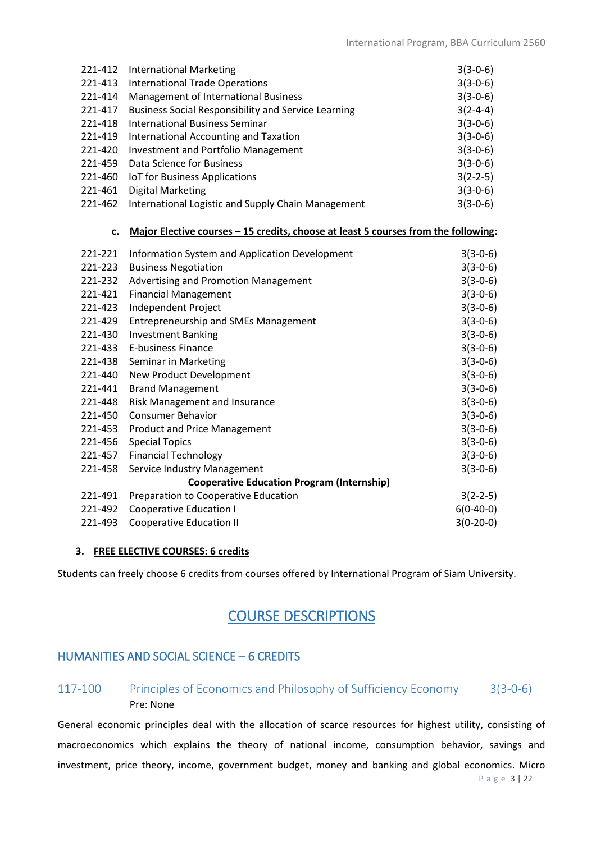| 221-412 | <b>International Marketing</b>                             | $3(3-0-6)$ |
|---------|------------------------------------------------------------|------------|
| 221-413 | <b>International Trade Operations</b>                      | $3(3-0-6)$ |
| 221-414 | <b>Management of International Business</b>                | $3(3-0-6)$ |
| 221-417 | <b>Business Social Responsibility and Service Learning</b> | $3(2-4-4)$ |
| 221-418 | International Business Seminar                             | $3(3-0-6)$ |
| 221-419 | International Accounting and Taxation                      | $3(3-0-6)$ |
| 221-420 | Investment and Portfolio Management                        | $3(3-0-6)$ |
| 221-459 | Data Science for Business                                  | $3(3-0-6)$ |
| 221-460 | <b>IoT</b> for Business Applications                       | $3(2-2-5)$ |
| 221-461 | <b>Digital Marketing</b>                                   | $3(3-0-6)$ |
| 221-462 | International Logistic and Supply Chain Management         | $3(3-0-6)$ |

#### **c. Major Elective courses – 15 credits, choose at least 5 courses from the following:**

| 221-221 | Information System and Application Development    | $3(3-0-6)$  |
|---------|---------------------------------------------------|-------------|
| 221-223 | <b>Business Negotiation</b>                       | $3(3-0-6)$  |
| 221-232 | Advertising and Promotion Management              | $3(3-0-6)$  |
| 221-421 | <b>Financial Management</b>                       | $3(3-0-6)$  |
| 221-423 | Independent Project                               | $3(3-0-6)$  |
| 221-429 | <b>Entrepreneurship and SMEs Management</b>       | $3(3-0-6)$  |
| 221-430 | <b>Investment Banking</b>                         | $3(3-0-6)$  |
| 221-433 | <b>E-business Finance</b>                         | $3(3-0-6)$  |
| 221-438 | Seminar in Marketing                              | $3(3-0-6)$  |
| 221-440 | New Product Development                           | $3(3-0-6)$  |
| 221-441 | <b>Brand Management</b>                           | $3(3-0-6)$  |
| 221-448 | Risk Management and Insurance                     | $3(3-0-6)$  |
| 221-450 | <b>Consumer Behavior</b>                          | $3(3-0-6)$  |
| 221-453 | <b>Product and Price Management</b>               | $3(3-0-6)$  |
| 221-456 | <b>Special Topics</b>                             | $3(3-0-6)$  |
| 221-457 | <b>Financial Technology</b>                       | $3(3-0-6)$  |
| 221-458 | Service Industry Management                       | $3(3-0-6)$  |
|         | <b>Cooperative Education Program (Internship)</b> |             |
| 221-491 | Preparation to Cooperative Education              | $3(2-2-5)$  |
| 221-492 | <b>Cooperative Education I</b>                    | $6(0-40-0)$ |
| 221-493 | <b>Cooperative Education II</b>                   | $3(0-20-0)$ |

### **3. FREE ELECTIVE COURSES: 6 credits**

Students can freely choose 6 credits from courses offered by International Program of Siam University.

# COURSE DESCRIPTIONS

# HUMANITIES AND SOCIAL SCIENCE – 6 CREDITS

# 117-100 Principles of Economics and Philosophy of Sufficiency Economy 3(3-0-6) Pre: None

General economic principles deal with the allocation of scarce resources for highest utility, consisting of macroeconomics which explains the theory of national income, consumption behavior, savings and investment, price theory, income, government budget, money and banking and global economics. Micro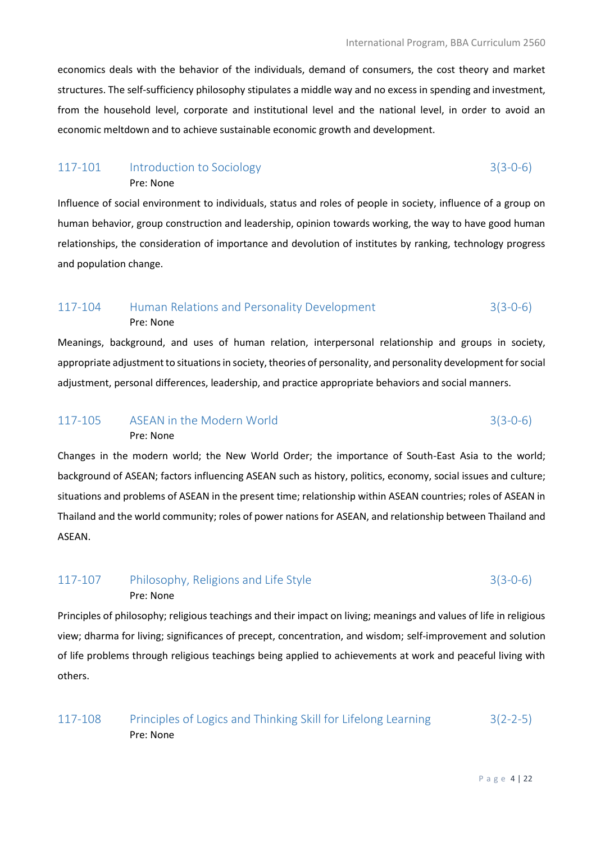economics deals with the behavior of the individuals, demand of consumers, the cost theory and market structures. The self-sufficiency philosophy stipulates a middle way and no excess in spending and investment, from the household level, corporate and institutional level and the national level, in order to avoid an economic meltdown and to achieve sustainable economic growth and development.

#### 117-101 Introduction to Sociology 3(3-0-6) Pre: None

Influence of social environment to individuals, status and roles of people in society, influence of a group on human behavior, group construction and leadership, opinion towards working, the way to have good human relationships, the consideration of importance and devolution of institutes by ranking, technology progress and population change.

# 117-104 Human Relations and Personality Development 3(3-0-6) Pre: None

Meanings, background, and uses of human relation, interpersonal relationship and groups in society, appropriate adjustment to situations in society, theories of personality, and personality development for social adjustment, personal differences, leadership, and practice appropriate behaviors and social manners.

# 117-105 ASEAN in the Modern World 3(3-0-6) Pre: None

Changes in the modern world; the New World Order; the importance of South-East Asia to the world; background of ASEAN; factors influencing ASEAN such as history, politics, economy, social issues and culture; situations and problems of ASEAN in the present time; relationship within ASEAN countries; roles of ASEAN in Thailand and the world community; roles of power nations for ASEAN, and relationship between Thailand and ASEAN.

# 117-107 Philosophy, Religions and Life Style 3(3-0-6) Pre: None

Principles of philosophy; religious teachings and their impact on living; meanings and values of life in religious view; dharma for living; significances of precept, concentration, and wisdom; self-improvement and solution of life problems through religious teachings being applied to achievements at work and peaceful living with others.

117-108 Principles of Logics and Thinking Skill for Lifelong Learning 3(2-2-5) Pre: None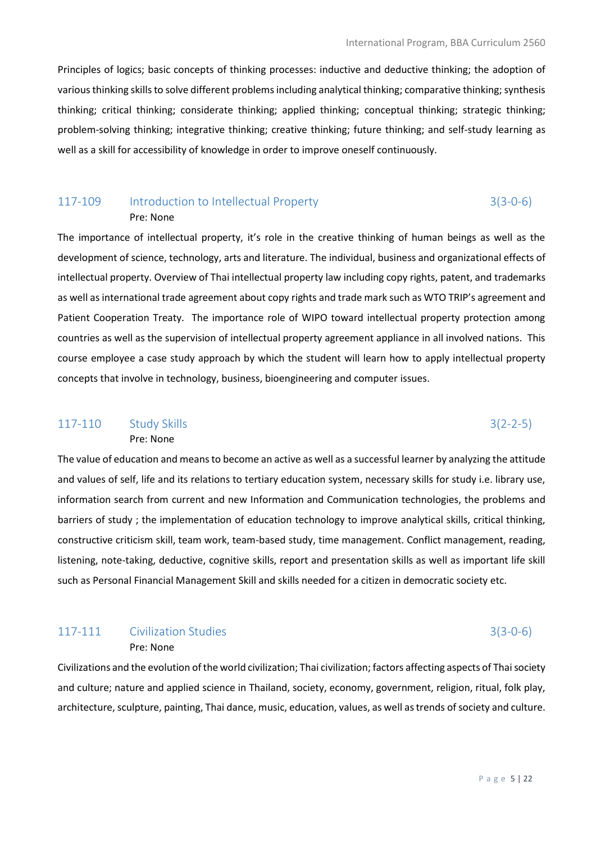Principles of logics; basic concepts of thinking processes: inductive and deductive thinking; the adoption of various thinking skills to solve different problems including analytical thinking; comparative thinking; synthesis thinking; critical thinking; considerate thinking; applied thinking; conceptual thinking; strategic thinking; problem-solving thinking; integrative thinking; creative thinking; future thinking; and self-study learning as well as a skill for accessibility of knowledge in order to improve oneself continuously.

# 117-109 Introduction to Intellectual Property 3(3-0-6) Pre: None

The importance of intellectual property, it's role in the creative thinking of human beings as well as the development of science, technology, arts and literature. The individual, business and organizational effects of intellectual property. Overview of Thai intellectual property law including copy rights, patent, and trademarks as well as international trade agreement about copy rights and trade mark such as WTO TRIP's agreement and Patient Cooperation Treaty. The importance role of WIPO toward intellectual property protection among countries as well as the supervision of intellectual property agreement appliance in all involved nations. This course employee a case study approach by which the student will learn how to apply intellectual property concepts that involve in technology, business, bioengineering and computer issues.

# 117-110 Study Skills 3(2-2-5)

Pre: None

The value of education and means to become an active as well as a successful learner by analyzing the attitude and values of self, life and its relations to tertiary education system, necessary skills for study i.e. library use, information search from current and new Information and Communication technologies, the problems and barriers of study ; the implementation of education technology to improve analytical skills, critical thinking, constructive criticism skill, team work, team-based study, time management. Conflict management, reading, listening, note-taking, deductive, cognitive skills, report and presentation skills as well as important life skill such as Personal Financial Management Skill and skills needed for a citizen in democratic society etc.

## 117-111 Civilization Studies 3(3-0-6) Pre: None

Civilizations and the evolution of the world civilization; Thai civilization; factors affecting aspects of Thai society and culture; nature and applied science in Thailand, society, economy, government, religion, ritual, folk play, architecture, sculpture, painting, Thai dance, music, education, values, as well as trends of society and culture.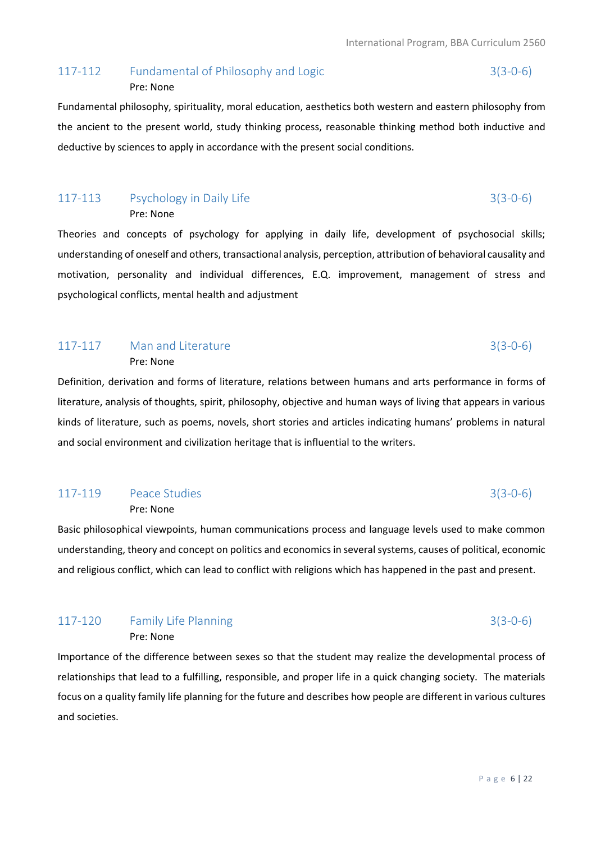### 117-112 Fundamental of Philosophy and Logic 3(3-0-6) Pre: None

Fundamental philosophy, spirituality, moral education, aesthetics both western and eastern philosophy from the ancient to the present world, study thinking process, reasonable thinking method both inductive and deductive by sciences to apply in accordance with the present social conditions.

### 117-113 Psychology in Daily Life 3(3-0-6) Pre: None

Theories and concepts of psychology for applying in daily life, development of psychosocial skills; understanding of oneself and others, transactional analysis, perception, attribution of behavioral causality and motivation, personality and individual differences, E.Q. improvement, management of stress and psychological conflicts, mental health and adjustment

## 117-117 Man and Literature 3(3-0-6) Pre: None

Definition, derivation and forms of literature, relations between humans and arts performance in forms of literature, analysis of thoughts, spirit, philosophy, objective and human ways of living that appears in various kinds of literature, such as poems, novels, short stories and articles indicating humans' problems in natural and social environment and civilization heritage that is influential to the writers.

# 117-119 Peace Studies 3(3-0-6)

Pre: None

Basic philosophical viewpoints, human communications process and language levels used to make common understanding, theory and concept on politics and economics in several systems, causes of political, economic and religious conflict, which can lead to conflict with religions which has happened in the past and present.

### 117-120 Family Life Planning 3(3-0-6) Pre: None

Importance of the difference between sexes so that the student may realize the developmental process of relationships that lead to a fulfilling, responsible, and proper life in a quick changing society. The materials focus on a quality family life planning for the future and describes how people are different in various cultures and societies.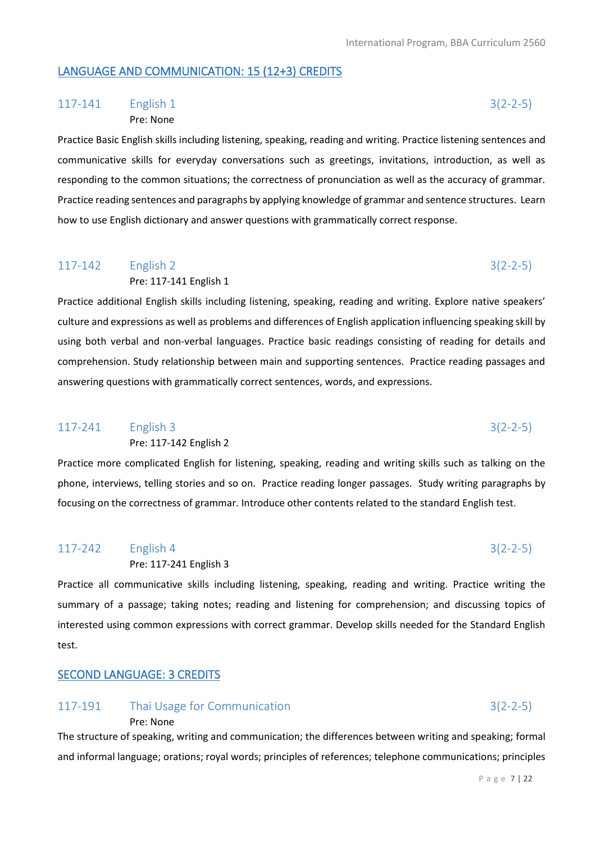## LANGUAGE AND COMMUNICATION: 15 (12+3) CREDITS

# 117-141 English 1 3(2-2-5) Pre: None

Practice Basic English skills including listening, speaking, reading and writing. Practice listening sentences and communicative skills for everyday conversations such as greetings, invitations, introduction, as well as responding to the common situations; the correctness of pronunciation as well as the accuracy of grammar. Practice reading sentences and paragraphs by applying knowledge of grammar and sentence structures. Learn how to use English dictionary and answer questions with grammatically correct response.

# 117-142 English 2 3(2-2-5) Pre: 117-141 English 1

Practice additional English skills including listening, speaking, reading and writing. Explore native speakers' culture and expressions as well as problems and differences of English application influencing speaking skill by using both verbal and non-verbal languages. Practice basic readings consisting of reading for details and comprehension. Study relationship between main and supporting sentences. Practice reading passages and answering questions with grammatically correct sentences, words, and expressions.

# 117-241 English 3 3(2-2-5)

Pre: 117-142 English 2

Practice more complicated English for listening, speaking, reading and writing skills such as talking on the phone, interviews, telling stories and so on. Practice reading longer passages. Study writing paragraphs by focusing on the correctness of grammar. Introduce other contents related to the standard English test.

# 117-242 English 4 3(2-2-5) Pre: 117-241 English 3

Practice all communicative skills including listening, speaking, reading and writing. Practice writing the summary of a passage; taking notes; reading and listening for comprehension; and discussing topics of interested using common expressions with correct grammar. Develop skills needed for the Standard English test.

# SECOND LANGUAGE: 3 CREDITS

Pre: None

# 117-191 Thai Usage for Communication 3(2-2-5)

The structure of speaking, writing and communication; the differences between writing and speaking; formal and informal language; orations; royal words; principles of references; telephone communications; principles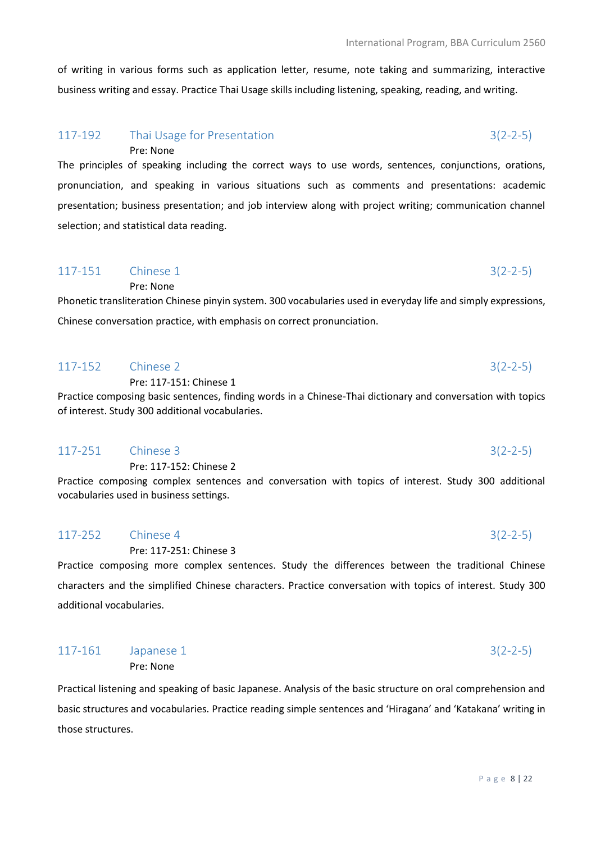of writing in various forms such as application letter, resume, note taking and summarizing, interactive business writing and essay. Practice Thai Usage skills including listening, speaking, reading, and writing.

#### 117-192 Thai Usage for Presentation 3(2-2-5) Pre: None

The principles of speaking including the correct ways to use words, sentences, conjunctions, orations, pronunciation, and speaking in various situations such as comments and presentations: academic presentation; business presentation; and job interview along with project writing; communication channel selection; and statistical data reading.

# $117-151$  Chinese 1 3(2-2-5)

Pre: None

Phonetic transliteration Chinese pinyin system. 300 vocabularies used in everyday life and simply expressions, Chinese conversation practice, with emphasis on correct pronunciation.

## 117-152 Chinese 2 3(2-2-5) Pre: 117-151: Chinese 1 Practice composing basic sentences, finding words in a Chinese-Thai dictionary and conversation with topics of interest. Study 300 additional vocabularies.

# 117-251 Chinese 3 3(2-2-5)

Pre: 117-152: Chinese 2

Practice composing complex sentences and conversation with topics of interest. Study 300 additional vocabularies used in business settings.

# 117-252 Chinese 4 3(2-2-5)

Pre: 117-251: Chinese 3

Practice composing more complex sentences. Study the differences between the traditional Chinese characters and the simplified Chinese characters. Practice conversation with topics of interest. Study 300 additional vocabularies.

| $117-161$ Japanese 1 |           | $3(2 - 2 - 5)$ |
|----------------------|-----------|----------------|
|                      | Pre: None |                |

Practical listening and speaking of basic Japanese. Analysis of the basic structure on oral comprehension and basic structures and vocabularies. Practice reading simple sentences and 'Hiragana' and 'Katakana' writing in those structures.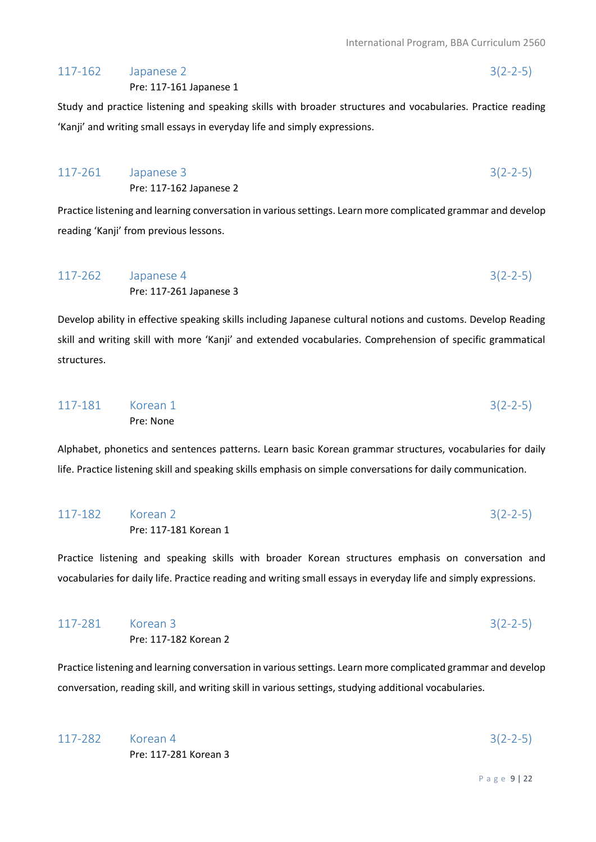### 117-162 Japanese 2 3(2-2-5)

Pre: 117-161 Japanese 1

Study and practice listening and speaking skills with broader structures and vocabularies. Practice reading 'Kanji' and writing small essays in everyday life and simply expressions.

| 117-261 Japanese 3 |                         | $3(2-2-5)$ |
|--------------------|-------------------------|------------|
|                    | Pre: 117-162 Japanese 2 |            |

Practice listening and learning conversation in various settings. Learn more complicated grammar and develop reading 'Kanji' from previous lessons.

| 117-262 Japanese 4 |                         | $3(2-2-5)$ |
|--------------------|-------------------------|------------|
|                    | Pre: 117-261 Japanese 3 |            |

Develop ability in effective speaking skills including Japanese cultural notions and customs. Develop Reading skill and writing skill with more 'Kanji' and extended vocabularies. Comprehension of specific grammatical structures.

| 117-181 Korean 1 |           | $3(2-2-5)$ |
|------------------|-----------|------------|
|                  | Pre: None |            |

Alphabet, phonetics and sentences patterns. Learn basic Korean grammar structures, vocabularies for daily life. Practice listening skill and speaking skills emphasis on simple conversations for daily communication.

| 117-182 Korean 2 |                       | $3(2-2-5)$ |
|------------------|-----------------------|------------|
|                  | Pre: 117-181 Korean 1 |            |

Practice listening and speaking skills with broader Korean structures emphasis on conversation and vocabularies for daily life. Practice reading and writing small essays in everyday life and simply expressions.

| 117-281 Korean 3 |                       | $3(2-2-5)$ |
|------------------|-----------------------|------------|
|                  | Pre: 117-182 Korean 2 |            |

Practice listening and learning conversation in various settings. Learn more complicated grammar and develop conversation, reading skill, and writing skill in various settings, studying additional vocabularies.

117-282 Korean 4 3(2-2-5) Pre: 117-281 Korean 3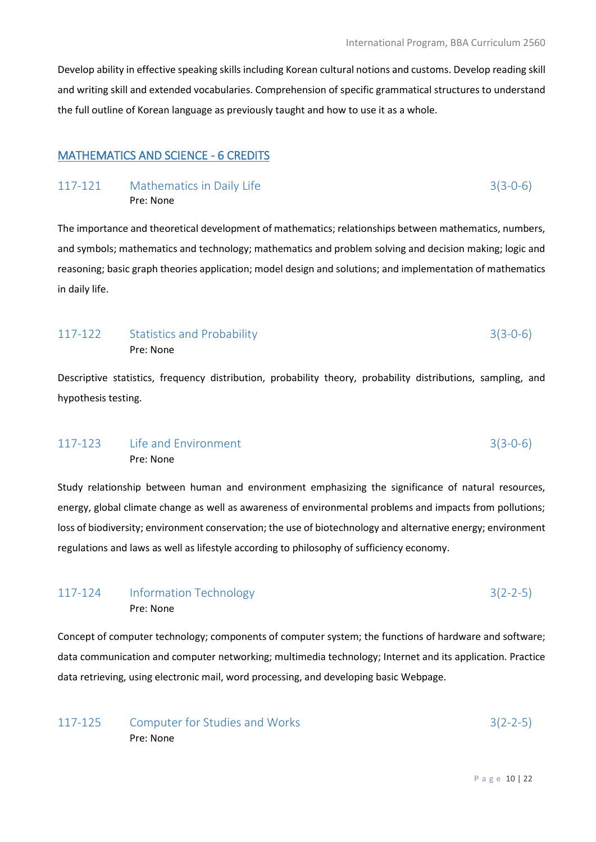Develop ability in effective speaking skills including Korean cultural notions and customs. Develop reading skill and writing skill and extended vocabularies. Comprehension of specific grammatical structures to understand the full outline of Korean language as previously taught and how to use it as a whole.

# MATHEMATICS AND SCIENCE - 6 CREDITS

#### 117-121 Mathematics in Daily Life 3(3-0-6) Pre: None

The importance and theoretical development of mathematics; relationships between mathematics, numbers, and symbols; mathematics and technology; mathematics and problem solving and decision making; logic and reasoning; basic graph theories application; model design and solutions; and implementation of mathematics in daily life.

# 117-122 Statistics and Probability 3(3-0-6) Pre: None

Descriptive statistics, frequency distribution, probability theory, probability distributions, sampling, and hypothesis testing.

# 117-123 Life and Environment 3(3-0-6) Pre: None

Study relationship between human and environment emphasizing the significance of natural resources, energy, global climate change as well as awareness of environmental problems and impacts from pollutions; loss of biodiversity; environment conservation; the use of biotechnology and alternative energy; environment regulations and laws as well as lifestyle according to philosophy of sufficiency economy.

# 117-124 Information Technology 3(2-2-5) Pre: None

Concept of computer technology; components of computer system; the functions of hardware and software; data communication and computer networking; multimedia technology; Internet and its application. Practice data retrieving, using electronic mail, word processing, and developing basic Webpage.

| 117-125 | Computer for Studies and Works | $3(2-2-5)$ |
|---------|--------------------------------|------------|
|         | Pre: None                      |            |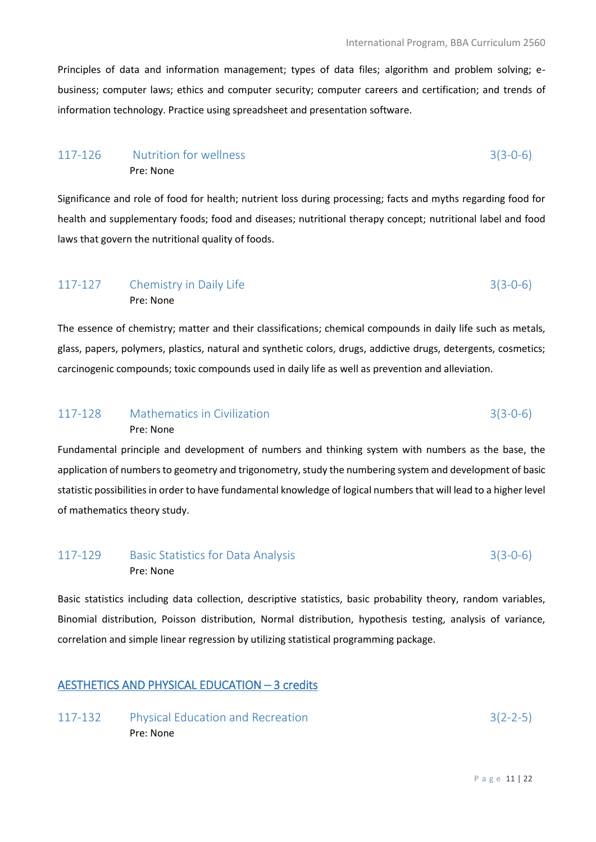Principles of data and information management; types of data files; algorithm and problem solving; ebusiness; computer laws; ethics and computer security; computer careers and certification; and trends of information technology. Practice using spreadsheet and presentation software.

# 117-126 Nutrition for wellness 3(3-0-6) Pre: None

Significance and role of food for health; nutrient loss during processing; facts and myths regarding food for health and supplementary foods; food and diseases; nutritional therapy concept; nutritional label and food laws that govern the nutritional quality of foods.

# 117-127 Chemistry in Daily Life 3(3-0-6) Pre: None

The essence of chemistry; matter and their classifications; chemical compounds in daily life such as metals, glass, papers, polymers, plastics, natural and synthetic colors, drugs, addictive drugs, detergents, cosmetics; carcinogenic compounds; toxic compounds used in daily life as well as prevention and alleviation.

## 117-128 Mathematics in Civilization 3(3-0-6) Pre: None

Fundamental principle and development of numbers and thinking system with numbers as the base, the application of numbers to geometry and trigonometry, study the numbering system and development of basic statistic possibilities in order to have fundamental knowledge of logical numbers that will lead to a higher level of mathematics theory study.

# 117-129 Basic Statistics for Data Analysis 3(3-0-6) Pre: None

Basic statistics including data collection, descriptive statistics, basic probability theory, random variables, Binomial distribution, Poisson distribution, Normal distribution, hypothesis testing, analysis of variance, correlation and simple linear regression by utilizing statistical programming package.

### AESTHETICS AND PHYSICAL EDUCATION – 3 credits

117-132 Physical Education and Recreation 3(2-2-5) Pre: None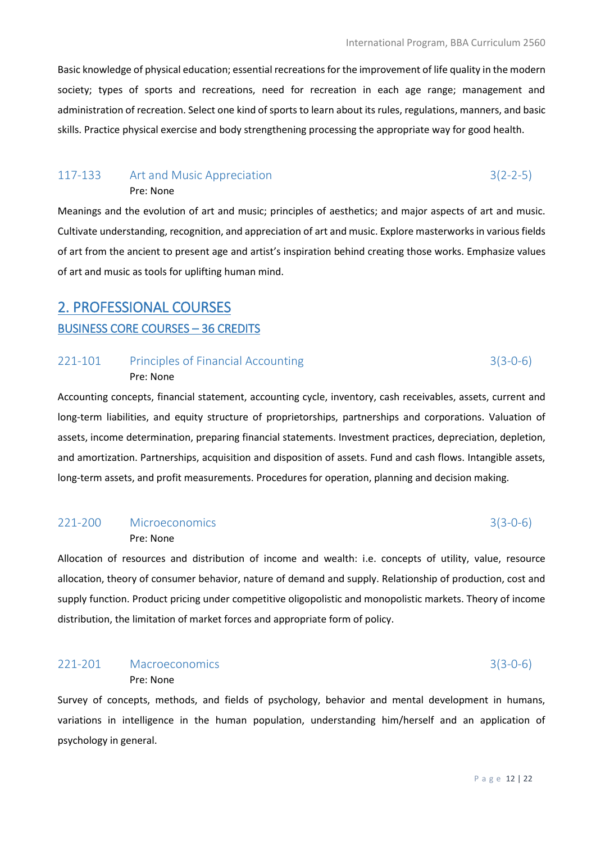Basic knowledge of physical education; essential recreations for the improvement of life quality in the modern society; types of sports and recreations, need for recreation in each age range; management and administration of recreation. Select one kind of sports to learn about its rules, regulations, manners, and basic skills. Practice physical exercise and body strengthening processing the appropriate way for good health.

#### 117-133 Art and Music Appreciation 3(2-2-5) Pre: None

Meanings and the evolution of art and music; principles of aesthetics; and major aspects of art and music. Cultivate understanding, recognition, and appreciation of art and music. Explore masterworks in various fields of art from the ancient to present age and artist's inspiration behind creating those works. Emphasize values of art and music as tools for uplifting human mind.

# 2. PROFESSIONAL COURSES BUSINESS CORE COURSES – 36 CREDITS

## 221-101 Principles of Financial Accounting 3(3-0-6) Pre: None

Accounting concepts, financial statement, accounting cycle, inventory, cash receivables, assets, current and long-term liabilities, and equity structure of proprietorships, partnerships and corporations. Valuation of assets, income determination, preparing financial statements. Investment practices, depreciation, depletion, and amortization. Partnerships, acquisition and disposition of assets. Fund and cash flows. Intangible assets, long-term assets, and profit measurements. Procedures for operation, planning and decision making.

## 221-200 Microeconomics 3(3-0-6) Pre: None

Allocation of resources and distribution of income and wealth: i.e. concepts of utility, value, resource allocation, theory of consumer behavior, nature of demand and supply. Relationship of production, cost and supply function. Product pricing under competitive oligopolistic and monopolistic markets. Theory of income distribution, the limitation of market forces and appropriate form of policy.

## 221-201 Macroeconomics 3(3-0-6) Pre: None

Survey of concepts, methods, and fields of psychology, behavior and mental development in humans, variations in intelligence in the human population, understanding him/herself and an application of psychology in general.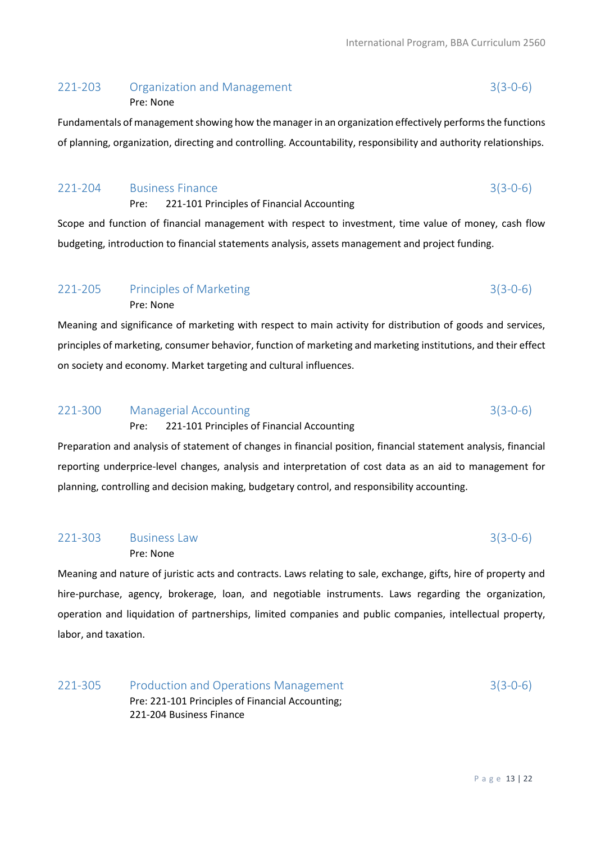### 221-203 Organization and Management 3(3-0-6) Pre: None

Fundamentals of management showing how the manager in an organization effectively performs the functions of planning, organization, directing and controlling. Accountability, responsibility and authority relationships.

## 221-204 Business Finance 3(3-0-6)

Pre: 221-101 Principles of Financial Accounting

Scope and function of financial management with respect to investment, time value of money, cash flow budgeting, introduction to financial statements analysis, assets management and project funding.

#### 221-205 Principles of Marketing 3(3-0-6) Pre: None

Meaning and significance of marketing with respect to main activity for distribution of goods and services, principles of marketing, consumer behavior, function of marketing and marketing institutions, and their effect on society and economy. Market targeting and cultural influences.

# 221-300 Managerial Accounting 3(3-0-6)

Pre: 221-101 Principles of Financial Accounting

Preparation and analysis of statement of changes in financial position, financial statement analysis, financial reporting underprice-level changes, analysis and interpretation of cost data as an aid to management for planning, controlling and decision making, budgetary control, and responsibility accounting.

# 221-303 Business Law 3(3-0-6)

Pre: None

Meaning and nature of juristic acts and contracts. Laws relating to sale, exchange, gifts, hire of property and hire-purchase, agency, brokerage, loan, and negotiable instruments. Laws regarding the organization, operation and liquidation of partnerships, limited companies and public companies, intellectual property, labor, and taxation.

221-305 Production and Operations Management 3(3-0-6) Pre: 221-101 Principles of Financial Accounting; 221-204 Business Finance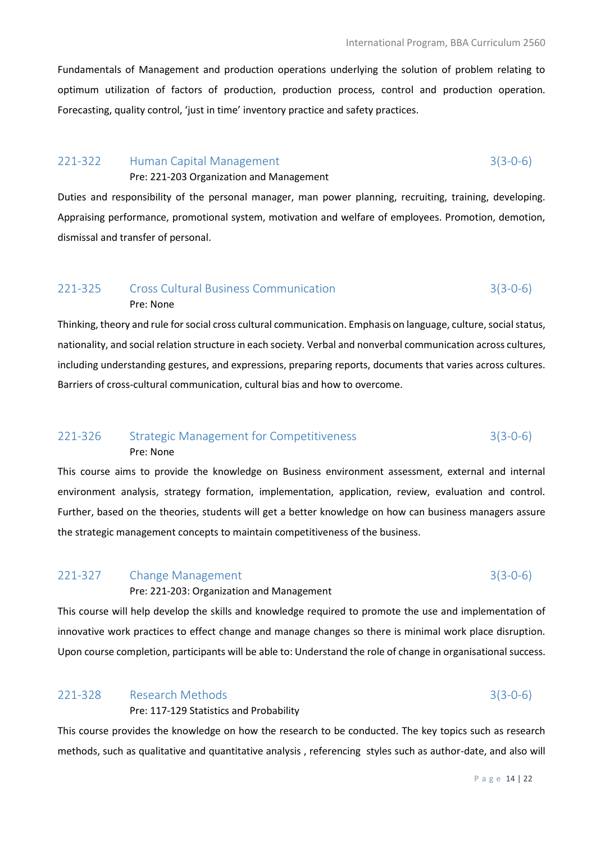Fundamentals of Management and production operations underlying the solution of problem relating to optimum utilization of factors of production, production process, control and production operation. Forecasting, quality control, 'just in time' inventory practice and safety practices.

### 221-322 Human Capital Management 3(3-0-6)

Pre: 221-203 Organization and Management

Duties and responsibility of the personal manager, man power planning, recruiting, training, developing. Appraising performance, promotional system, motivation and welfare of employees. Promotion, demotion, dismissal and transfer of personal.

### 221-325 Cross Cultural Business Communication 3(3-0-6) Pre: None

Thinking, theory and rule for social cross cultural communication. Emphasis on language, culture, social status, nationality, and social relation structure in each society. Verbal and nonverbal communication across cultures, including understanding gestures, and expressions, preparing reports, documents that varies across cultures. Barriers of cross-cultural communication, cultural bias and how to overcome.

## 221-326 Strategic Management for Competitiveness 3(3-0-6) Pre: None

This course aims to provide the knowledge on Business environment assessment, external and internal environment analysis, strategy formation, implementation, application, review, evaluation and control. Further, based on the theories, students will get a better knowledge on how can business managers assure the strategic management concepts to maintain competitiveness of the business.

## 221-327 Change Management 3(3-0-6) Pre: 221-203: Organization and Management

This course will help develop the skills and knowledge required to promote the use and implementation of innovative work practices to effect change and manage changes so there is minimal work place disruption. Upon course completion, participants will be able to: Understand the role of change in organisational success.

## 221-328 Research Methods 3(3-0-6) Pre: 117-129 Statistics and Probability

This course provides the knowledge on how the research to be conducted. The key topics such as research methods, such as qualitative and quantitative analysis , referencing styles such as author-date, and also will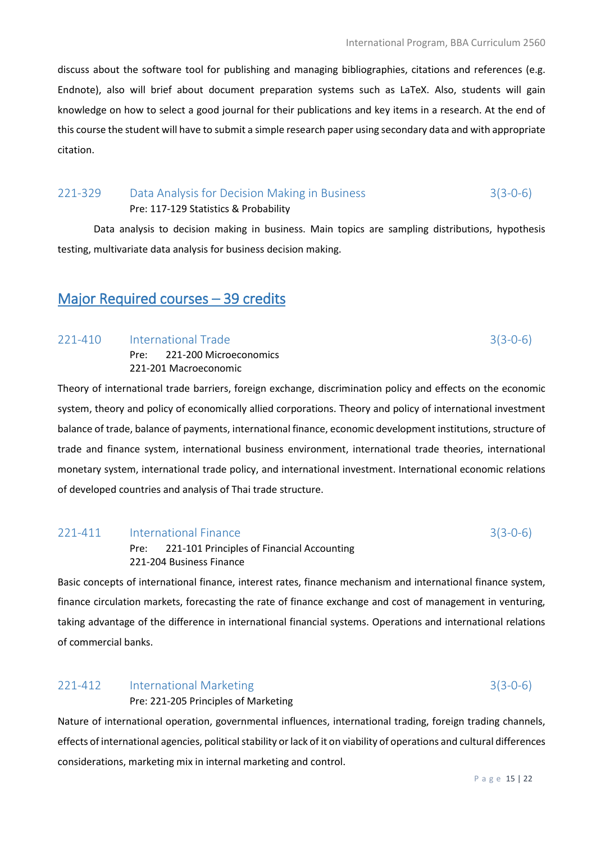discuss about the software tool for publishing and managing bibliographies, citations and references (e.g. Endnote), also will brief about document preparation systems such as LaTeX. Also, students will gain knowledge on how to select a good journal for their publications and key items in a research. At the end of this course the student will have to submit a simple research paper using secondary data and with appropriate citation.

## 221-329 Data Analysis for Decision Making in Business 3(3-0-6) Pre: 117-129 Statistics & Probability

Data analysis to decision making in business. Main topics are sampling distributions, hypothesis testing, multivariate data analysis for business decision making.

# Major Required courses – 39 credits

#### 221-410 International Trade 3(3-0-6)

Pre: 221-200 Microeconomics 221-201 Macroeconomic

Theory of international trade barriers, foreign exchange, discrimination policy and effects on the economic system, theory and policy of economically allied corporations. Theory and policy of international investment balance of trade, balance of payments, international finance, economic development institutions, structure of trade and finance system, international business environment, international trade theories, international monetary system, international trade policy, and international investment. International economic relations of developed countries and analysis of Thai trade structure.

### 221-411 International Finance 3(3-0-6)

Pre: 221-101 Principles of Financial Accounting 221-204 Business Finance

Basic concepts of international finance, interest rates, finance mechanism and international finance system, finance circulation markets, forecasting the rate of finance exchange and cost of management in venturing, taking advantage of the difference in international financial systems. Operations and international relations of commercial banks.

### 221-412 International Marketing 3(3-0-6)

Pre: 221-205 Principles of Marketing

Nature of international operation, governmental influences, international trading, foreign trading channels, effects of international agencies, political stability or lack of it on viability of operations and cultural differences considerations, marketing mix in internal marketing and control.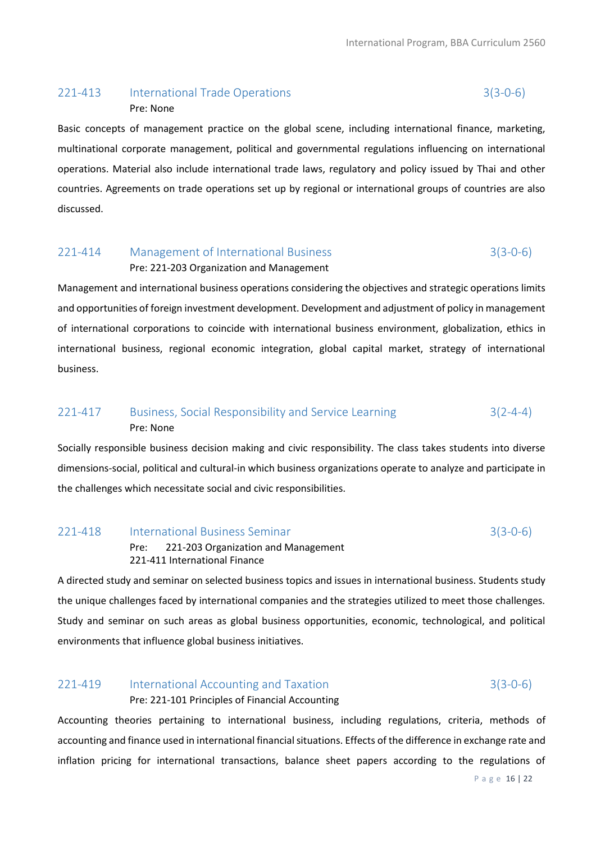## 221-413 International Trade Operations 3(3-0-6) Pre: None

Basic concepts of management practice on the global scene, including international finance, marketing, multinational corporate management, political and governmental regulations influencing on international operations. Material also include international trade laws, regulatory and policy issued by Thai and other countries. Agreements on trade operations set up by regional or international groups of countries are also discussed.

# 221-414 Management of International Business 3(3-0-6)

#### Pre: 221-203 Organization and Management

Management and international business operations considering the objectives and strategic operations limits and opportunities of foreign investment development. Development and adjustment of policy in management of international corporations to coincide with international business environment, globalization, ethics in international business, regional economic integration, global capital market, strategy of international business.

# 221-417 Business, Social Responsibility and Service Learning 3(2-4-4) Pre: None

Socially responsible business decision making and civic responsibility. The class takes students into diverse dimensions-social, political and cultural-in which business organizations operate to analyze and participate in the challenges which necessitate social and civic responsibilities.

#### 221-418 International Business Seminar 3(3-0-6)

Pre: 221-203 Organization and Management 221-411 International Finance

A directed study and seminar on selected business topics and issues in international business. Students study the unique challenges faced by international companies and the strategies utilized to meet those challenges. Study and seminar on such areas as global business opportunities, economic, technological, and political environments that influence global business initiatives.

## 221-419 International Accounting and Taxation 3(3-0-6) Pre: 221-101 Principles of Financial Accounting

Accounting theories pertaining to international business, including regulations, criteria, methods of accounting and finance used in international financial situations. Effects of the difference in exchange rate and inflation pricing for international transactions, balance sheet papers according to the regulations of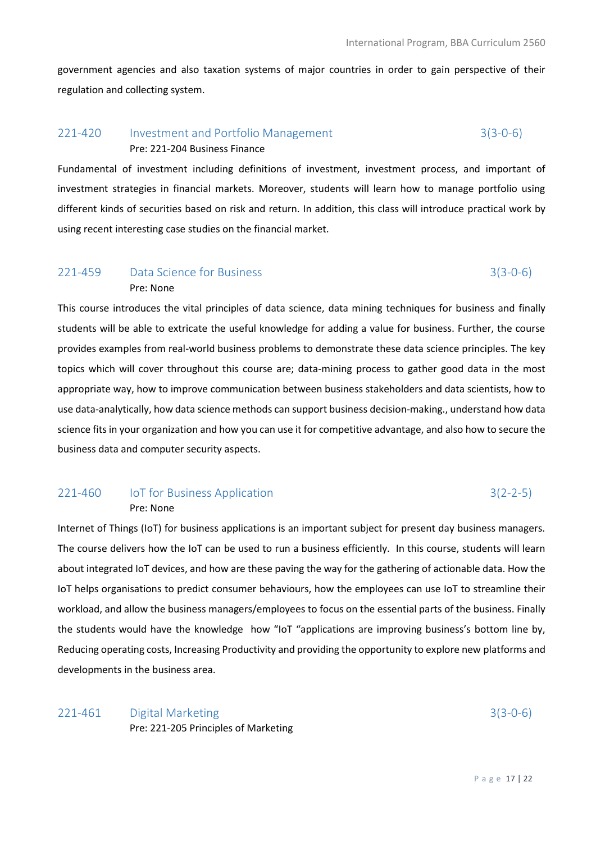government agencies and also taxation systems of major countries in order to gain perspective of their regulation and collecting system.

# 221-420 Investment and Portfolio Management 3(3-0-6) Pre: 221-204 Business Finance

Fundamental of investment including definitions of investment, investment process, and important of investment strategies in financial markets. Moreover, students will learn how to manage portfolio using different kinds of securities based on risk and return. In addition, this class will introduce practical work by using recent interesting case studies on the financial market.

# 221-459 Data Science for Business 3(3-0-6) Pre: None

This course introduces the vital principles of data science, data mining techniques for business and finally students will be able to extricate the useful knowledge for adding a value for business. Further, the course provides examples from real-world business problems to demonstrate these data science principles. The key topics which will cover throughout this course are; data-mining process to gather good data in the most appropriate way, how to improve communication between business stakeholders and data scientists, how to use data-analytically, how data science methods can support business decision-making., understand how data science fits in your organization and how you can use it for competitive advantage, and also how to secure the business data and computer security aspects.

#### 221-460 IoT for Business Application 3(2-2-5) Pre: None

Internet of Things (IoT) for business applications is an important subject for present day business managers. The course delivers how the IoT can be used to run a business efficiently. In this course, students will learn about integrated IoT devices, and how are these paving the way for the gathering of actionable data. How the IoT helps organisations to predict consumer behaviours, how the employees can use IoT to streamline their workload, and allow the business managers/employees to focus on the essential parts of the business. Finally the students would have the knowledge how "IoT "applications are improving business's bottom line by, Reducing operating costs, Increasing Productivity and providing the opportunity to explore new platforms and developments in the business area.

## 221-461 Digital Marketing 3(3-0-6) Pre: 221-205 Principles of Marketing

P a g e 17 | 22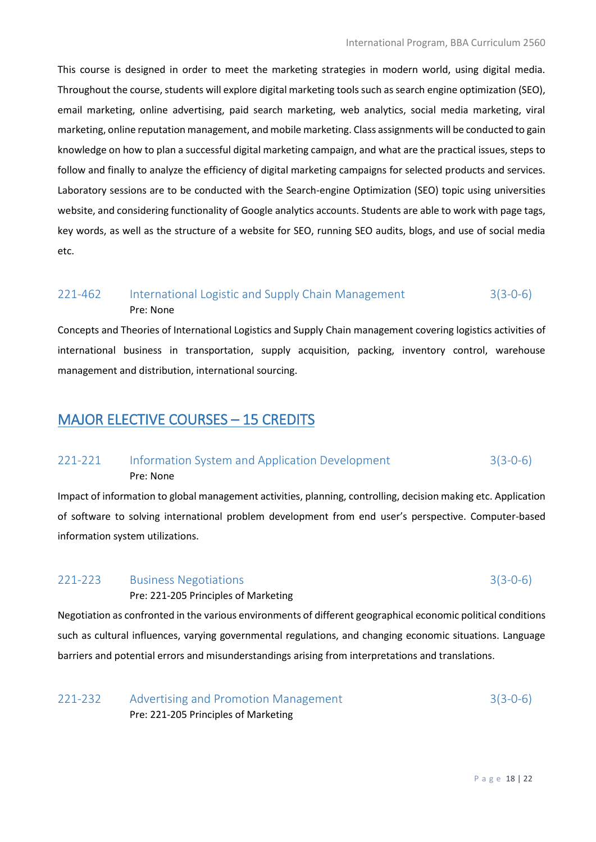This course is designed in order to meet the marketing strategies in modern world, using digital media. Throughout the course, students will explore digital marketing tools such as search engine optimization (SEO), email marketing, online advertising, paid search marketing, web analytics, social media marketing, viral marketing, online reputation management, and mobile marketing. Class assignments will be conducted to gain knowledge on how to plan a successful digital marketing campaign, and what are the practical issues, steps to follow and finally to analyze the efficiency of digital marketing campaigns for selected products and services. Laboratory sessions are to be conducted with the Search-engine Optimization (SEO) topic using universities website, and considering functionality of Google analytics accounts. Students are able to work with page tags, key words, as well as the structure of a website for SEO, running SEO audits, blogs, and use of social media etc.

### 221-462 International Logistic and Supply Chain Management 3(3-0-6) Pre: None

Concepts and Theories of International Logistics and Supply Chain management covering logistics activities of international business in transportation, supply acquisition, packing, inventory control, warehouse management and distribution, international sourcing.

# MAJOR ELECTIVE COURSES – 15 CREDITS

# 221-221 Information System and Application Development 3(3-0-6) Pre: None

Impact of information to global management activities, planning, controlling, decision making etc. Application of software to solving international problem development from end user's perspective. Computer-based information system utilizations.

# 221-223 Business Negotiations 3(3-0-6)

Pre: 221-205 Principles of Marketing

Negotiation as confronted in the various environments of different geographical economic political conditions such as cultural influences, varying governmental regulations, and changing economic situations. Language barriers and potential errors and misunderstandings arising from interpretations and translations.

221-232 Advertising and Promotion Management 3(3-0-6) Pre: 221-205 Principles of Marketing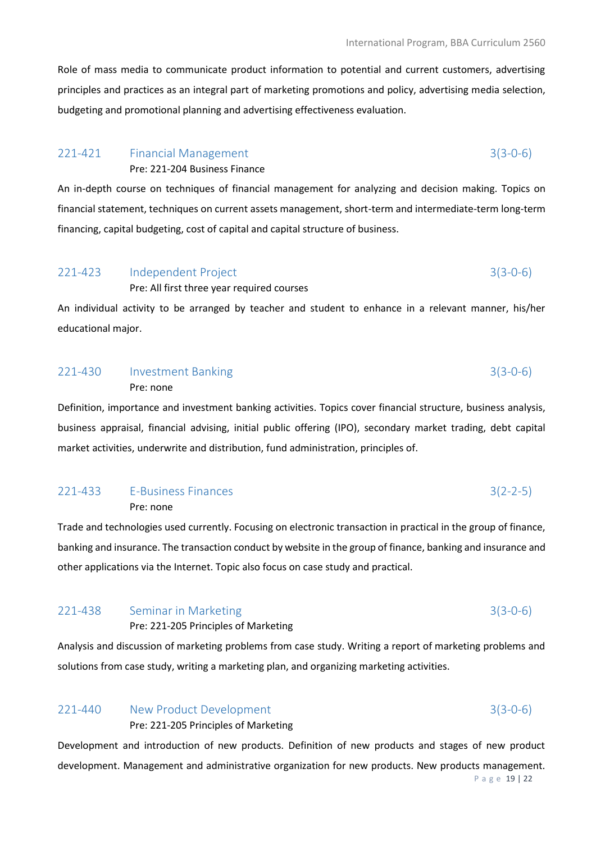Role of mass media to communicate product information to potential and current customers, advertising principles and practices as an integral part of marketing promotions and policy, advertising media selection, budgeting and promotional planning and advertising effectiveness evaluation.

# 221-421 Financial Management 3(3-0-6)

Pre: 221-204 Business Finance

An in-depth course on techniques of financial management for analyzing and decision making. Topics on financial statement, techniques on current assets management, short-term and intermediate-term long-term financing, capital budgeting, cost of capital and capital structure of business.

## 221-423 Independent Project 3(3-0-6) Pre: All first three year required courses

An individual activity to be arranged by teacher and student to enhance in a relevant manner, his/her educational major.

# 221-430 Investment Banking 3(3-0-6) Pre: none

Definition, importance and investment banking activities. Topics cover financial structure, business analysis, business appraisal, financial advising, initial public offering (IPO), secondary market trading, debt capital market activities, underwrite and distribution, fund administration, principles of.

### 221-433 E-Business Finances 3(2-2-5) Pre: none

Trade and technologies used currently. Focusing on electronic transaction in practical in the group of finance, banking and insurance. The transaction conduct by website in the group of finance, banking and insurance and other applications via the Internet. Topic also focus on case study and practical.

# 221-438 Seminar in Marketing 3(3-0-6)

Pre: 221-205 Principles of Marketing

Analysis and discussion of marketing problems from case study. Writing a report of marketing problems and solutions from case study, writing a marketing plan, and organizing marketing activities.

### 221-440 New Product Development 3(3-0-6)

Pre: 221-205 Principles of Marketing

P a g e 19 | 22 Development and introduction of new products. Definition of new products and stages of new product development. Management and administrative organization for new products. New products management.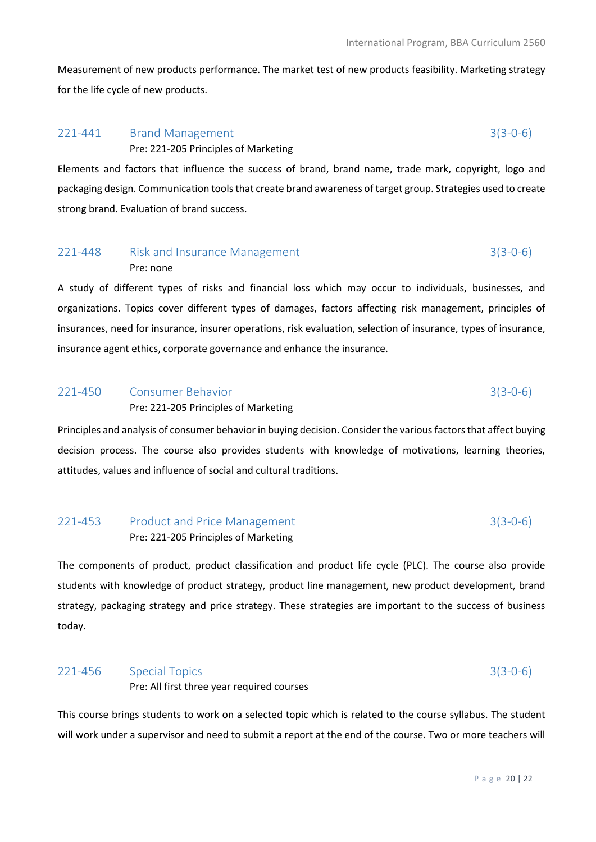Measurement of new products performance. The market test of new products feasibility. Marketing strategy for the life cycle of new products.

# 221-441 Brand Management 3(3-0-6) Pre: 221-205 Principles of Marketing

Elements and factors that influence the success of brand, brand name, trade mark, copyright, logo and packaging design. Communication tools that create brand awareness of target group. Strategies used to create strong brand. Evaluation of brand success.

# 221-448 Risk and Insurance Management 3(3-0-6) Pre: none

A study of different types of risks and financial loss which may occur to individuals, businesses, and organizations. Topics cover different types of damages, factors affecting risk management, principles of insurances, need for insurance, insurer operations, risk evaluation, selection of insurance, types of insurance, insurance agent ethics, corporate governance and enhance the insurance.

#### 221-450 Consumer Behavior 3(3-0-6)

#### Pre: 221-205 Principles of Marketing

Principles and analysis of consumer behavior in buying decision. Consider the various factors that affect buying decision process. The course also provides students with knowledge of motivations, learning theories, attitudes, values and influence of social and cultural traditions.

# 221-453 Product and Price Management 3(3-0-6) Pre: 221-205 Principles of Marketing

The components of product, product classification and product life cycle (PLC). The course also provide students with knowledge of product strategy, product line management, new product development, brand strategy, packaging strategy and price strategy. These strategies are important to the success of business today.

#### 221-456 Special Topics 3(3-0-6)

Pre: All first three year required courses

This course brings students to work on a selected topic which is related to the course syllabus. The student will work under a supervisor and need to submit a report at the end of the course. Two or more teachers will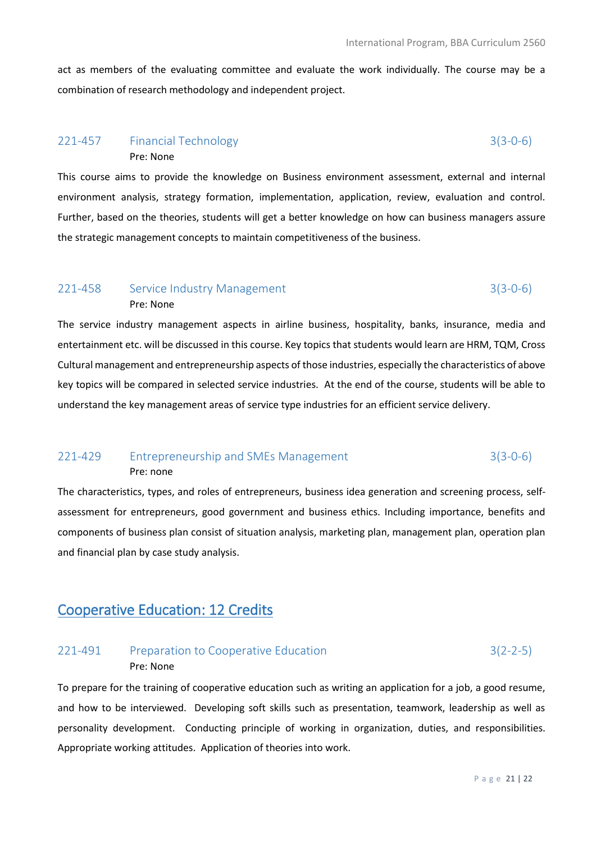act as members of the evaluating committee and evaluate the work individually. The course may be a combination of research methodology and independent project.

### 221-457 Financial Technology 3(3-0-6) Pre: None

Pre: None

This course aims to provide the knowledge on Business environment assessment, external and internal environment analysis, strategy formation, implementation, application, review, evaluation and control. Further, based on the theories, students will get a better knowledge on how can business managers assure the strategic management concepts to maintain competitiveness of the business.

# 221-458 Service Industry Management 3(3-0-6)

The service industry management aspects in airline business, hospitality, banks, insurance, media and entertainment etc. will be discussed in this course. Key topics that students would learn are HRM, TQM, Cross Cultural management and entrepreneurship aspects of those industries, especially the characteristics of above key topics will be compared in selected service industries. At the end of the course, students will be able to understand the key management areas of service type industries for an efficient service delivery.

# 221-429 Entrepreneurship and SMEs Management 3(3-0-6) Pre: none

The characteristics, types, and roles of entrepreneurs, business idea generation and screening process, selfassessment for entrepreneurs, good government and business ethics. Including importance, benefits and components of business plan consist of situation analysis, marketing plan, management plan, operation plan and financial plan by case study analysis.

# Cooperative Education: 12 Credits

# 221-491 Preparation to Cooperative Education 3(2-2-5) Pre: None

To prepare for the training of cooperative education such as writing an application for a job, a good resume, and how to be interviewed. Developing soft skills such as presentation, teamwork, leadership as well as personality development. Conducting principle of working in organization, duties, and responsibilities. Appropriate working attitudes. Application of theories into work.